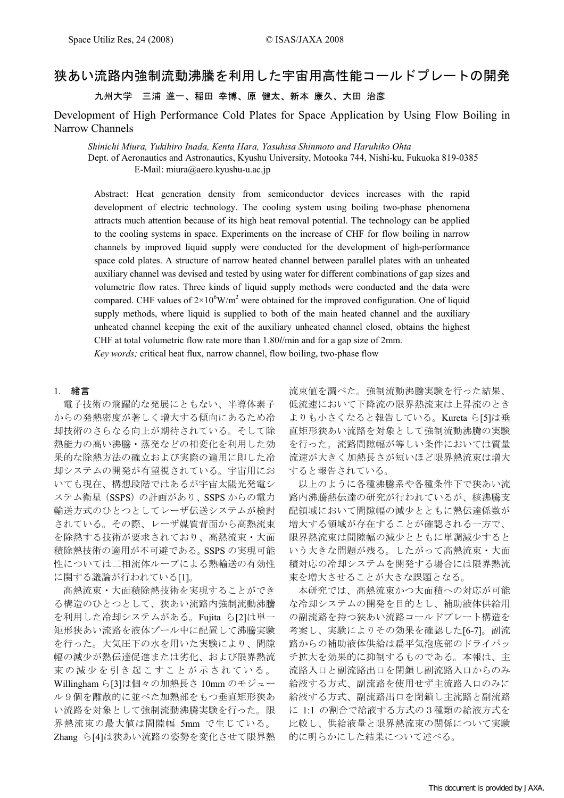# 狭あい流路内強制流動沸騰を利用した宇宙用高性能コールドプレートの開発

九州大学 三浦 進一、稲田 幸博、原 健太、新本 康久、大田 治彦

Development of High Performance Cold Plates for Space Application by Using Flow Boiling in Narrow Channels

Shinichi Miura, Yukihiro Inada, Kenta Hara, Yasuhisa Shinmoto and Haruhiko Ohta

Dept. of Aeronautics and Astronautics, Kyushu University, Motooka 744, Nishi-ku, Fukuoka 819-0385 E-Mail: miura@aero.kyushu-u.ac.jp

Abstract: Heat generation density from semiconductor devices increases with the rapid development of electric technology. The cooling system using boiling two-phase phenomena attracts much attention because of its high heat removal potential. The technology can be applied to the cooling systems in space. Experiments on the increase of CHF for flow boiling in narrow channels by improved liquid supply were conducted for the development of high-performance space cold plates. A structure of narrow heated channel between parallel plates with an unheated auxiliary channel was devised and tested by using water for different combinations of gap sizes and volumetric flow rates. Three kinds of liquid supply methods were conducted and the data were compared. CHF values of  $2\times10^{6}$ W/m<sup>2</sup> were obtained for the improved configuration. One of liquid supply methods, where liquid is supplied to both of the main heated channel and the auxiliary unheated channel keeping the exit of the auxiliary unheated channel closed, obtains the highest CHF at total volumetric flow rate more than 1.80l/min and for a gap size of 2mm.

Key words; critical heat flux, narrow channel, flow boiling, two-phase flow

# 1. 緒言

電子技術の飛躍的な発展にともない、半導体素子 からの発熱密度が著しく増大する傾向にあるため冷 却技術のさらなる向上が期待されている。そして除 熱能力の高い沸騰・蒸発などの相変化を利用した効 果的な除熱方法の確立および実際の適用に即した冷 却システムの開発が有望視されている。宇宙用にお いても現在、構想段階ではあるが宇宙太陽光発電シ ステム衛星(SSPS)の計画があり、SSPS からの電力 輸送方式のひとつとしてレーザ伝送システムが検討 されている。その際、レーザ媒質背面から高熱流束 を除熱する技術が要求されており、高熱流束・大面 積除熱技術の適用が不可避である。SSPS の実現可能 性については二相流体ループによる熱輸送の有効性 に関する議論が行われている[1]。

高熱流束・大面積除熱技術を実現することができ る構造のひとつとして、狭あい流路内強制流動沸騰 を利用した冷却システムがある。Fujita ら[2]は単一 矩形狭あい流路を液体プール中に配置して沸騰実験 を行った。大気圧下の水を用いた実験により、間隙 幅の減少が熱伝達促進または劣化、および限界熱流 束 の 減 少 を 引 き 起 こ す こ と が 示 さ れ て い る 。 Willingham ら[3]は個々の加熱長さ 10mm のモジュー ル9個を離散的に並べた加熱部をもつ垂直矩形狭あ い流路を対象として強制流動沸騰実験を行った。限 界熱流束の最大値は間隙幅 5mm で生じている。 Zhang ら[4]は狭あい流路の姿勢を変化させて限界熱

流束値を調べた。強制流動沸騰実験を行った結果、 低流速において下降流の限界熱流束は上昇流のとき よりも小さくなると報告している。Kureta ら[5]は垂 直矩形狭あい流路を対象として強制流動沸騰の実験 を行った。流路間隙幅が等しい条件においては質量 流速が大きく加熱長さが短いほど限界熱流束は増大 すると報告されている。

以上のように各種沸騰系や各種条件下で狭あい流 路内沸騰熱伝達の研究が行われているが、核沸騰支 配領域において間隙幅の減少とともに熱伝達係数が 増大する領域が存在することが確認される一方で、 限界熱流束は間隙幅の減少とともに単調減少すると いう大きな問題が残る。したがって高熱流束・大面 積対応の冷却システムを開発する場合には限界熱流 束を増大させることが大きな課題となる。

本研究では、高熱流束かつ大面積への対応が可能 な冷却システムの開発を目的とし、補助液体供給用 の副流路を持つ狭あい流路コールドプレート構造を 考案し、実験によりその効果を確認した[6-7]。副流 路からの補助液体供給は扁平気泡底部のドライパッ チ拡大を効果的に抑制するものである。本報は、主 流路入口と副流路出口を閉鎖し副流路入口からのみ 給液する方式、副流路を使用せず主流路入口のみに 給液する方式、副流路出口を閉鎖し主流路と副流路 に 1:1 の割合で給液する方式の3種類の給液方式を 比較し、供給液量と限界熱流束の関係について実験 的に明らかにした結果について述べる。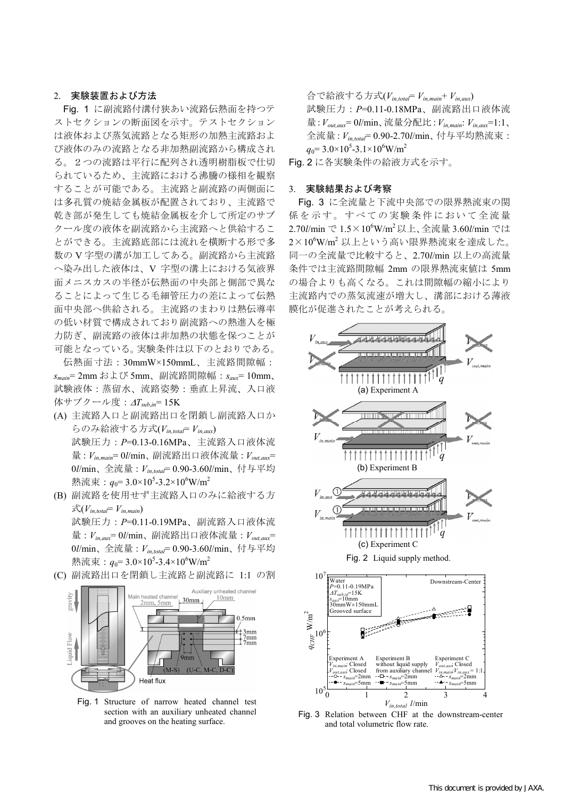# 2. 実験装置および方法

Fig. 1 に副流路付溝付狭あい流路伝熱面を持つテ ストセクションの断面図を示す。テストセクション は液体および蒸気流路となる矩形の加熱主流路およ び液体のみの流路となる非加熱副流路から構成され る。2つの流路は平行に配列され透明樹脂板で仕切 られているため、主流路における沸騰の様相を観察 することが可能である。主流路と副流路の両側面に は多孔質の焼結金属板が配置されており、主流路で 乾き部が発生しても焼結金属板を介して所定のサブ クール度の液体を副流路から主流路へと供給するこ とができる。主流路底部には流れを横断する形で多 数の V 字型の溝が加工してある。副流路から主流路 へ染み出した液体は、V 字型の溝上における気液界 面メニスカスの半径が伝熱面の中央部と側部で異な ることによって生じる毛細管圧力の差によって伝熱 面中央部へ供給される。主流路のまわりは熱伝導率 の低い材質で構成されており副流路への熱進入を極 力防ぎ、副流路の液体は非加熱の状態を保つことが 可能となっている。実験条件は以下のとおりである。

伝熱面寸法:30mmW×150mmL、主流路間隙幅:  $s_{main}$ = 2mm および 5mm、副流路間隙幅:  $s_{aux}$ = 10mm、 試験液体:蒸留水、流路姿勢:垂直上昇流、入口液 体サブクール度:  $\Delta T_{\text{sub,in}}$ = 15K

- (A) 主流路入口と副流路出口を閉鎖し副流路入口か らのみ給液する方式 $(V_{in,total}=V_{in,aux})$ 試験圧力:P=0.13-0.16MPa、主流路入口液体流 量:  $V_{in,main} = 0$ //min、副流路出口液体流量:  $V_{out,aux}$ = 0l/min、全流量:  $V_{in,total}$ = 0.90-3.60l/min、付与平均 熱流束: $q_0$ = 3.0×10<sup>5</sup>-3.2×10<sup>6</sup>W/m<sup>2</sup>
- (B) 副流路を使用せず主流路入口のみに給液する方  $\vec{\mathcal{L}}(V_{in,total} = V_{in,main})$ 試験圧力:P=0.11-0.19MPa、副流路入口液体流 量:  $V_{in,aux} = 0$ //min、副流路出口液体流量:  $V_{out,aux}$ =  $0$ *l*/min、全流量:  $V_{in,total}$ = 0.90-3.60*l*/min、付与平均 熱流束: $q_0$ = 3.0×10<sup>5</sup>-3.4×10<sup>6</sup>W/m<sup>2</sup>
- (C) 副流路出口を閉鎖し主流路と副流路に 1:1 の割



Fig. 1 Structure of narrow heated channel test section with an auxiliary unheated channel and grooves on the heating surface.

合で給液する方式(Vin,total= Vin,main+ Vin,aux) 試験圧力:P=0.11-0.18MPa、副流路出口液体流 量:  $V_{out.aux} = 0$ //min、流量分配比:  $V_{in,main}$ :  $V_{in,aux} = 1:1$ 、 全流量: $V_{in,total}$ = 0.90-2.70 $l$ /min、付与平均熱流束:  $q_0$ = 3.0×10<sup>5</sup>-3.1×10<sup>6</sup>W/m<sup>2</sup>

Fig. 2 に各実験条件の給液方式を示す。

## 3. 実験結果および考察

Fig. 3 に全流量と下流中央部での限界熱流束の関 係を示す。すべての実験条件において全流量 2.70l/min で 1.5×10<sup>6</sup>W/m<sup>2</sup>以上、全流量 3.60l/min では 2×10<sup>6</sup>W/m<sup>2</sup> 以上という高い限界熱流束を達成した。 同一の全流量で比較すると、2.70l/min 以上の高流量 条件では主流路間隙幅 2mm の限界熱流束値は 5mm の場合よりも高くなる。これは間隙幅の縮小により 主流路内での蒸気流速が増大し、溝部における薄液 膜化が促進されたことが考えられる。



and total volumetric flow rate.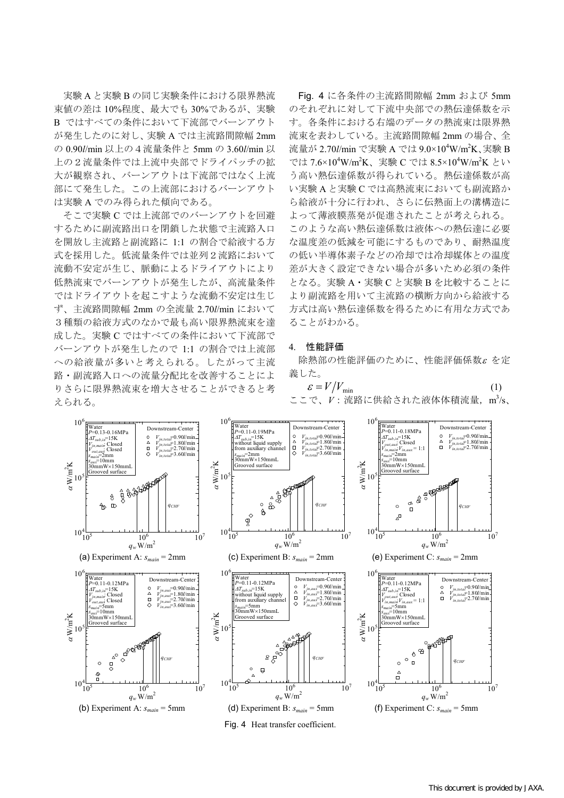実験 A と実験 B の同じ実験条件における限界熱流 束値の差は 10%程度、最大でも 30%であるが、実験 B ではすべての条件において下流部でバーンアウト が発生したのに対し、実験 A では主流路間隙幅 2mm の 0.90l/min 以上の4流量条件と 5mm の 3.60l/min 以 上の2流量条件では上流中央部でドライパッチの拡 大が観察され、バーンアウトは下流部ではなく上流 部にて発生した。この上流部におけるバーンアウト は実験 A でのみ得られた傾向である。

そこで実験 C では上流部でのバーンアウトを回避 するために副流路出口を閉鎖した状態で主流路入口 を開放し主流路と副流路に 1:1 の割合で給液する方 式を採用した。低流量条件では並列2流路において 流動不安定が生じ、脈動によるドライアウトにより 低熱流束でバーンアウトが発生したが、高流量条件 ではドライアウトを起こすような流動不安定は生じ ず、主流路間隙幅 2mm の全流量 2.70l/min において 3種類の給液方式のなかで最も高い限界熱流束を達 成した。実験 C ではすべての条件において下流部で バーンアウトが発生したので 1:1 の割合では上流部 への給液量が多いと考えられる。したがって主流 路・副流路入口への流量分配比を改善することによ りさらに限界熱流束を増大させることができると考 えられる。

Fig. 4 に各条件の主流路間隙幅 2mm および 5mm のそれぞれに対して下流中央部での熱伝達係数を示 す。各条件における右端のデータの熱流束は限界熱 流束を表わしている。主流路間隙幅 2mm の場合、全 流量が 2.70l/min で実験 A では 9.0×10<sup>4</sup>W/m<sup>2</sup>K、実験 B では 7.6×10<sup>4</sup>W/m<sup>2</sup>K、実験 C では 8.5×10<sup>4</sup>W/m<sup>2</sup>K とい う高い熱伝達係数が得られている。熱伝達係数が高 い実験 A と実験 C では高熱流束においても副流路か ら給液が十分に行われ、さらに伝熱面上の溝構造に よって薄液膜蒸発が促進されたことが考えられる。 このような高い熱伝達係数は液体への熱伝達に必要 な温度差の低減を可能にするものであり、耐熱温度 の低い半導体素子などの冷却では冷却媒体との温度 差が大きく設定できない場合が多いため必須の条件 となる。実験 A・実験 C と実験 B を比較することに より副流路を用いて主流路の横断方向から給液する 方式は高い熱伝達係数を得るために有用な方式であ ることがわかる。

# 4. 性能評価

除熱部の性能評価のために、性能評価係数<sup>ε</sup> を定 義した。

$$
\mathcal{E} = V/V_{\min} \tag{1}
$$
\n
$$
\Sigma \subseteq \mathcal{C}, \quad V : \tilde{\mathcal{R}} \mathbb{R} \times \mathbb{R} \times \mathbb{R} \times \mathbb{R} \times \mathbb{R} \times \mathbb{R} \times \mathbb{R} \times \mathbb{R} \times \mathbb{R} \times \mathbb{R} \times \mathbb{R} \times \mathbb{R} \times \mathbb{R} \times \mathbb{R} \times \mathbb{R} \times \mathbb{R} \times \mathbb{R} \times \mathbb{R} \times \mathbb{R} \times \mathbb{R} \times \mathbb{R} \times \mathbb{R} \times \mathbb{R} \times \mathbb{R} \times \mathbb{R} \times \mathbb{R} \times \mathbb{R} \times \mathbb{R} \times \mathbb{R} \times \mathbb{R} \times \mathbb{R} \times \mathbb{R} \times \mathbb{R} \times \mathbb{R} \times \mathbb{R} \times \mathbb{R} \times \mathbb{R} \times \mathbb{R} \times \mathbb{R} \times \mathbb{R} \times \mathbb{R} \times \mathbb{R} \times \mathbb{R} \times \mathbb{R} \times \mathbb{R} \times \mathbb{R} \times \mathbb{R} \times \mathbb{R} \times \mathbb{R} \times \mathbb{R} \times \mathbb{R} \times \mathbb{R} \times \mathbb{R} \times \mathbb{R} \times \mathbb{R} \times \mathbb{R} \times \mathbb{R} \times \mathbb{R} \times \mathbb{R} \times \mathbb{R} \times \mathbb{R} \times \mathbb{R} \times \mathbb{R} \times \mathbb{R} \times \mathbb{R} \times \mathbb{R} \times \mathbb{R} \times \mathbb{R} \times \mathbb{R} \times \mathbb{R} \times \mathbb{R} \times \mathbb{R} \times \mathbb{R} \times \mathbb{R} \times \mathbb{R} \times \mathbb{R} \times \mathbb{R} \times \mathbb{R} \times \mathbb{R} \times \mathbb{R} \times \mathbb{R} \times \mathbb{R} \times \mathbb{R} \times \mathbb{R} \times \mathbb{R} \times \mathbb{R} \times \mathbb{R} \times \mathbb{R} \times \mathbb{R
$$



Fig. 4 Heat transfer coefficient.